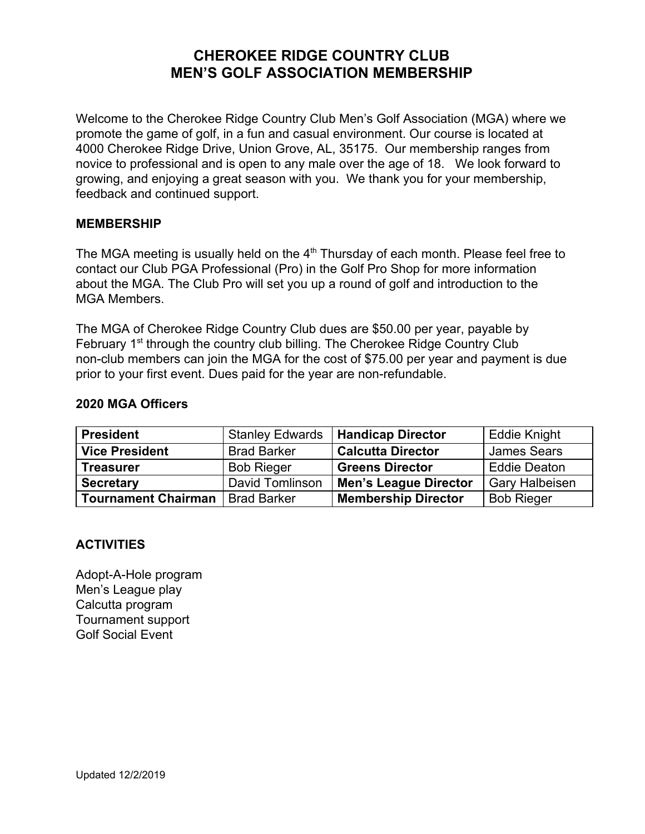# **CHEROKEE RIDGE COUNTRY CLUB MEN'S GOLF ASSOCIATION MEMBERSHIP**

Welcome to the Cherokee Ridge Country Club Men's Golf Association (MGA) where we promote the game of golf, in a fun and casual environment. Our course is located at 4000 Cherokee Ridge Drive, Union Grove, AL, 35175. Our membership ranges from novice to professional and is open to any male over the age of 18. We look forward to growing, and enjoying a great season with you. We thank you for your membership, feedback and continued support.

#### **MEMBERSHIP**

The MGA meeting is usually held on the  $4<sup>th</sup>$  Thursday of each month. Please feel free to contact our Club PGA Professional (Pro) in the Golf Pro Shop for more information about the MGA. The Club Pro will set you up a round of golf and introduction to the MGA Members.

The MGA of Cherokee Ridge Country Club dues are \$50.00 per year, payable by February 1<sup>st</sup> through the country club billing. The Cherokee Ridge Country Club non-club members can join the MGA for the cost of \$75.00 per year and payment is due prior to your first event. Dues paid for the year are non-refundable.

#### **2020 MGA Officers**

| <b>President</b>           | <b>Stanley Edwards</b> | <b>Handicap Director</b>     | <b>Eddie Knight</b>   |
|----------------------------|------------------------|------------------------------|-----------------------|
| <b>Vice President</b>      | <b>Brad Barker</b>     | <b>Calcutta Director</b>     | <b>James Sears</b>    |
| <b>Treasurer</b>           | <b>Bob Rieger</b>      | <b>Greens Director</b>       | <b>Eddie Deaton</b>   |
| <b>Secretary</b>           | David Tomlinson        | <b>Men's League Director</b> | <b>Gary Halbeisen</b> |
| <b>Tournament Chairman</b> | <b>Brad Barker</b>     | <b>Membership Director</b>   | <b>Bob Rieger</b>     |

#### **ACTIVITIES**

Adopt-A-Hole program Men's League play Calcutta program Tournament support Golf Social Event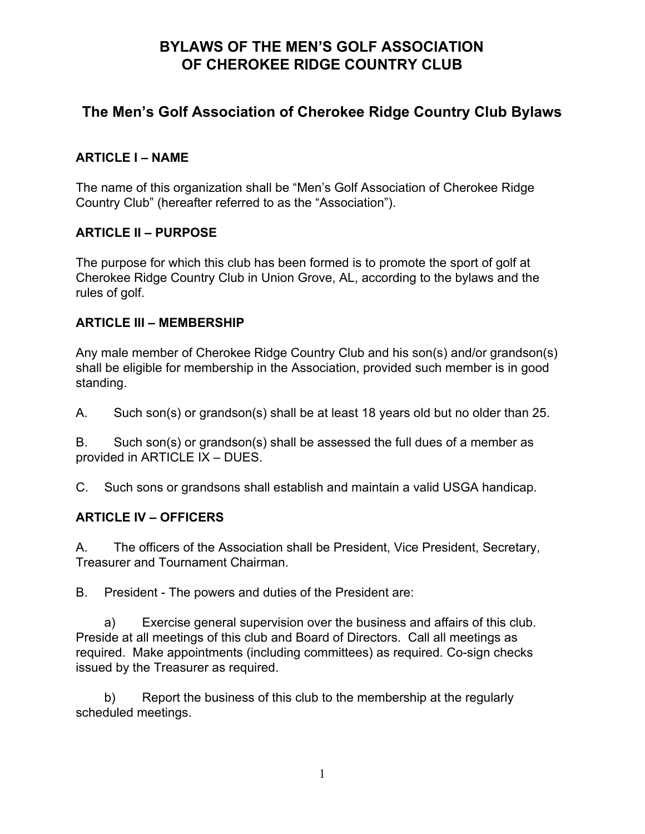# **The Men's Golf Association of Cherokee Ridge Country Club Bylaws**

### **ARTICLE I – NAME**

The name of this organization shall be "Men's Golf Association of Cherokee Ridge Country Club" (hereafter referred to as the "Association").

### **ARTICLE II – PURPOSE**

The purpose for which this club has been formed is to promote the sport of golf at Cherokee Ridge Country Club in Union Grove, AL, according to the bylaws and the rules of golf.

### **ARTICLE III – MEMBERSHIP**

Any male member of Cherokee Ridge Country Club and his son(s) and/or grandson(s) shall be eligible for membership in the Association, provided such member is in good standing.

A. Such son(s) or grandson(s) shall be at least 18 years old but no older than 25.

B. Such son(s) or grandson(s) shall be assessed the full dues of a member as provided in ARTICLE IX – DUES.

C. Such sons or grandsons shall establish and maintain a valid USGA handicap.

### **ARTICLE IV – OFFICERS**

A. The officers of the Association shall be President, Vice President, Secretary, Treasurer and Tournament Chairman.

B. President - The powers and duties of the President are:

a) Exercise general supervision over the business and affairs of this club. Preside at all meetings of this club and Board of Directors. Call all meetings as required. Make appointments (including committees) as required. Co-sign checks issued by the Treasurer as required.

b) Report the business of this club to the membership at the regularly scheduled meetings.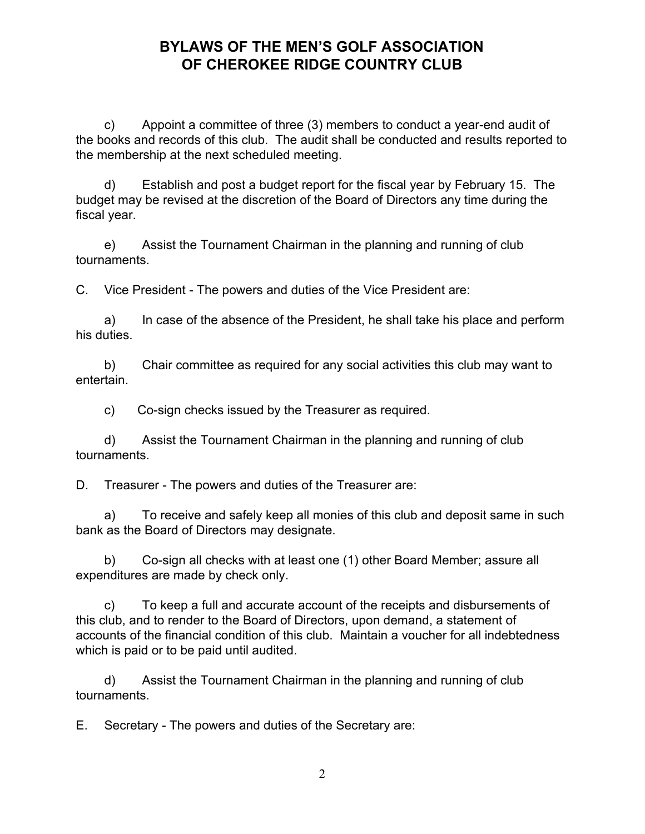c) Appoint a committee of three (3) members to conduct a year-end audit of the books and records of this club. The audit shall be conducted and results reported to the membership at the next scheduled meeting.

d) Establish and post a budget report for the fiscal year by February 15. The budget may be revised at the discretion of the Board of Directors any time during the fiscal year.

e) Assist the Tournament Chairman in the planning and running of club tournaments.

C. Vice President - The powers and duties of the Vice President are:

a) In case of the absence of the President, he shall take his place and perform his duties.

b) Chair committee as required for any social activities this club may want to entertain.

c) Co-sign checks issued by the Treasurer as required.

d) Assist the Tournament Chairman in the planning and running of club tournaments.

D. Treasurer - The powers and duties of the Treasurer are:

a) To receive and safely keep all monies of this club and deposit same in such bank as the Board of Directors may designate.

b) Co-sign all checks with at least one (1) other Board Member; assure all expenditures are made by check only.

c) To keep a full and accurate account of the receipts and disbursements of this club, and to render to the Board of Directors, upon demand, a statement of accounts of the financial condition of this club. Maintain a voucher for all indebtedness which is paid or to be paid until audited.

d) Assist the Tournament Chairman in the planning and running of club tournaments.

E. Secretary - The powers and duties of the Secretary are: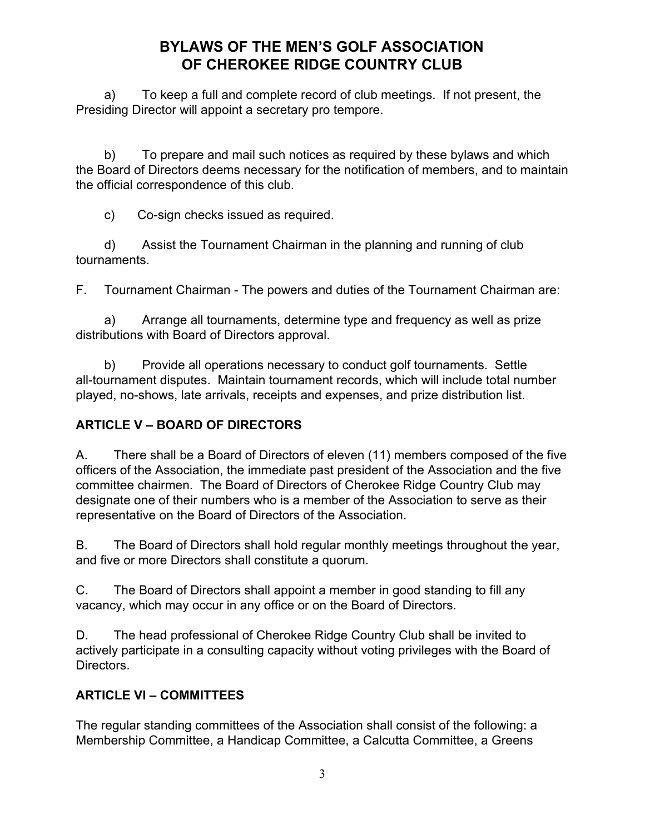a) To keep a full and complete record of club meetings. If not present, the Presiding Director will appoint a secretary pro tempore.

b) To prepare and mail such notices as required by these bylaws and which the Board of Directors deems necessary for the notification of members, and to maintain the official correspondence of this club.

c) Co-sign checks issued as required.

d) Assist the Tournament Chairman in the planning and running of club tournaments.

F. Tournament Chairman - The powers and duties of the Tournament Chairman are:

a) Arrange all tournaments, determine type and frequency as well as prize distributions with Board of Directors approval.

b) Provide all operations necessary to conduct golf tournaments. Settle all-tournament disputes. Maintain tournament records, which will include total number played, no-shows, late arrivals, receipts and expenses, and prize distribution list.

## **ARTICLE V – BOARD OF DIRECTORS**

A. There shall be a Board of Directors of eleven (11) members composed of the five officers of the Association, the immediate past president of the Association and the five committee chairmen. The Board of Directors of Cherokee Ridge Country Club may designate one of their numbers who is a member of the Association to serve as their representative on the Board of Directors of the Association.

B. The Board of Directors shall hold regular monthly meetings throughout the year, and five or more Directors shall constitute a quorum.

C. The Board of Directors shall appoint a member in good standing to fill any vacancy, which may occur in any office or on the Board of Directors.

D. The head professional of Cherokee Ridge Country Club shall be invited to actively participate in a consulting capacity without voting privileges with the Board of Directors.

## **ARTICLE VI – COMMITTEES**

The regular standing committees of the Association shall consist of the following: a Membership Committee, a Handicap Committee, a Calcutta Committee, a Greens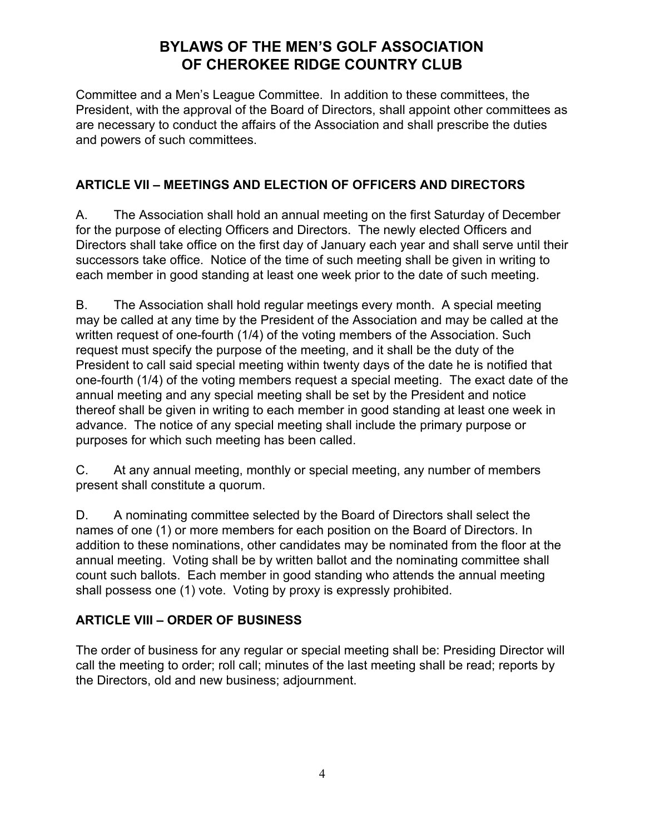Committee and a Men's League Committee. In addition to these committees, the President, with the approval of the Board of Directors, shall appoint other committees as are necessary to conduct the affairs of the Association and shall prescribe the duties and powers of such committees.

### **ARTICLE VII – MEETINGS AND ELECTION OF OFFICERS AND DIRECTORS**

A. The Association shall hold an annual meeting on the first Saturday of December for the purpose of electing Officers and Directors. The newly elected Officers and Directors shall take office on the first day of January each year and shall serve until their successors take office. Notice of the time of such meeting shall be given in writing to each member in good standing at least one week prior to the date of such meeting.

B. The Association shall hold regular meetings every month. A special meeting may be called at any time by the President of the Association and may be called at the written request of one-fourth (1/4) of the voting members of the Association. Such request must specify the purpose of the meeting, and it shall be the duty of the President to call said special meeting within twenty days of the date he is notified that one-fourth (1/4) of the voting members request a special meeting. The exact date of the annual meeting and any special meeting shall be set by the President and notice thereof shall be given in writing to each member in good standing at least one week in advance. The notice of any special meeting shall include the primary purpose or purposes for which such meeting has been called.

C. At any annual meeting, monthly or special meeting, any number of members present shall constitute a quorum.

D. A nominating committee selected by the Board of Directors shall select the names of one (1) or more members for each position on the Board of Directors. In addition to these nominations, other candidates may be nominated from the floor at the annual meeting. Voting shall be by written ballot and the nominating committee shall count such ballots. Each member in good standing who attends the annual meeting shall possess one (1) vote. Voting by proxy is expressly prohibited.

## **ARTICLE VIII – ORDER OF BUSINESS**

The order of business for any regular or special meeting shall be: Presiding Director will call the meeting to order; roll call; minutes of the last meeting shall be read; reports by the Directors, old and new business; adjournment.